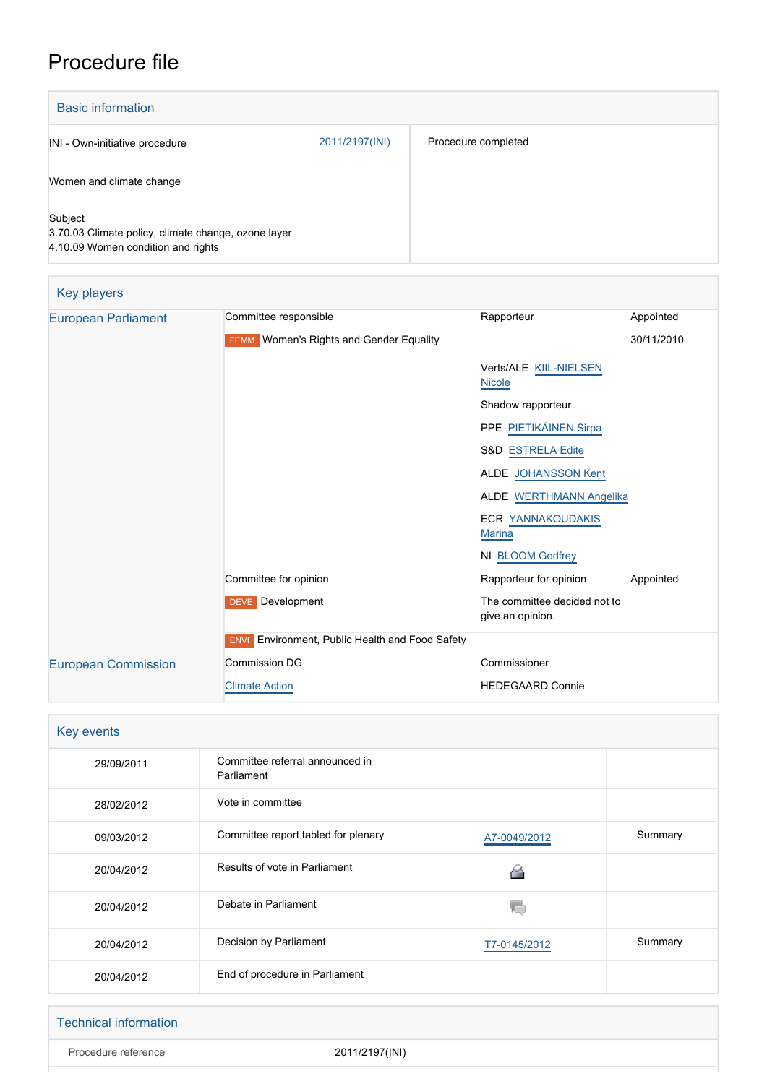## Procedure file

| <b>Basic information</b>                                                                             |                |                     |
|------------------------------------------------------------------------------------------------------|----------------|---------------------|
| INI - Own-initiative procedure                                                                       | 2011/2197(INI) | Procedure completed |
| Women and climate change                                                                             |                |                     |
| Subject<br>3.70.03 Climate policy, climate change, ozone layer<br>4.10.09 Women condition and rights |                |                     |

| <b>Key players</b>         |                                                        |                                                  |            |  |
|----------------------------|--------------------------------------------------------|--------------------------------------------------|------------|--|
| <b>European Parliament</b> | Committee responsible                                  | Rapporteur                                       | Appointed  |  |
|                            | <b>FEMM</b> Women's Rights and Gender Equality         |                                                  | 30/11/2010 |  |
|                            |                                                        | Verts/ALE KIIL-NIELSEN<br><b>Nicole</b>          |            |  |
|                            |                                                        | Shadow rapporteur                                |            |  |
|                            |                                                        | PPE PIETIKÄINEN Sirpa                            |            |  |
|                            |                                                        | S&D ESTRELA Edite                                |            |  |
|                            |                                                        | ALDE JOHANSSON Kent                              |            |  |
|                            |                                                        | <b>ALDE WERTHMANN Angelika</b>                   |            |  |
|                            |                                                        | <b>ECR YANNAKOUDAKIS</b><br><b>Marina</b>        |            |  |
|                            |                                                        | NI BLOOM Godfrey                                 |            |  |
|                            | Committee for opinion                                  | Rapporteur for opinion                           | Appointed  |  |
|                            | DEVE Development                                       | The committee decided not to<br>give an opinion. |            |  |
|                            | <b>ENVI</b> Environment, Public Health and Food Safety |                                                  |            |  |
| <b>European Commission</b> | <b>Commission DG</b>                                   | Commissioner                                     |            |  |
|                            | <b>Climate Action</b>                                  | <b>HEDEGAARD Connie</b>                          |            |  |

| Key events |                                               |              |         |
|------------|-----------------------------------------------|--------------|---------|
| 29/09/2011 | Committee referral announced in<br>Parliament |              |         |
| 28/02/2012 | Vote in committee                             |              |         |
| 09/03/2012 | Committee report tabled for plenary           | A7-0049/2012 | Summary |
| 20/04/2012 | Results of vote in Parliament                 |              |         |
| 20/04/2012 | Debate in Parliament                          | V.           |         |
| 20/04/2012 | Decision by Parliament                        | T7-0145/2012 | Summary |
| 20/04/2012 | End of procedure in Parliament                |              |         |

| <b>Technical information</b> |                |
|------------------------------|----------------|
| Procedure reference          | 2011/2197(INI) |
|                              |                |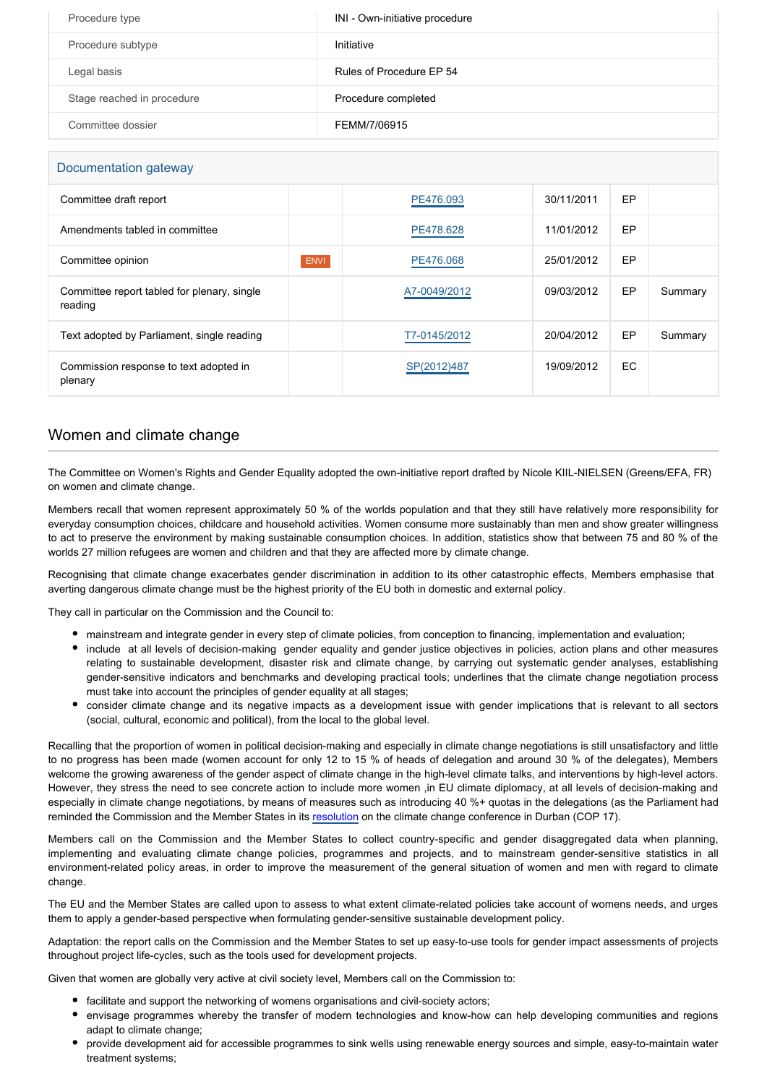| Procedure type             | INI - Own-initiative procedure |
|----------------------------|--------------------------------|
| Procedure subtype          | Initiative                     |
| Legal basis                | Rules of Procedure EP 54       |
| Stage reached in procedure | Procedure completed            |
| Committee dossier          | FEMM/7/06915                   |

| Documentation gateway                                  |             |              |            |     |         |
|--------------------------------------------------------|-------------|--------------|------------|-----|---------|
| Committee draft report                                 |             | PE476.093    | 30/11/2011 | EP  |         |
| Amendments tabled in committee                         |             | PE478.628    | 11/01/2012 | EP  |         |
| Committee opinion                                      | <b>ENVI</b> | PE476,068    | 25/01/2012 | EP  |         |
| Committee report tabled for plenary, single<br>reading |             | A7-0049/2012 | 09/03/2012 | EP  | Summary |
| Text adopted by Parliament, single reading             |             | T7-0145/2012 | 20/04/2012 | EP  | Summary |
| Commission response to text adopted in<br>plenary      |             | SP(2012)487  | 19/09/2012 | EC. |         |

## Women and climate change

The Committee on Women's Rights and Gender Equality adopted the own-initiative report drafted by Nicole KIIL-NIELSEN (Greens/EFA, FR) on women and climate change.

Members recall that women represent approximately 50 % of the worlds population and that they still have relatively more responsibility for everyday consumption choices, childcare and household activities. Women consume more sustainably than men and show greater willingness to act to preserve the environment by making sustainable consumption choices. In addition, statistics show that between 75 and 80 % of the worlds 27 million refugees are women and children and that they are affected more by climate change.

Recognising that climate change exacerbates gender discrimination in addition to its other catastrophic effects, Members emphasise that averting dangerous climate change must be the highest priority of the EU both in domestic and external policy.

They call in particular on the Commission and the Council to:

- mainstream and integrate gender in every step of climate policies, from conception to financing, implementation and evaluation;
- include at all levels of decision-making gender equality and gender justice objectives in policies, action plans and other measures relating to sustainable development, disaster risk and climate change, by carrying out systematic gender analyses, establishing gender-sensitive indicators and benchmarks and developing practical tools; underlines that the climate change negotiation process must take into account the principles of gender equality at all stages;
- consider climate change and its negative impacts as a development issue with gender implications that is relevant to all sectors (social, cultural, economic and political), from the local to the global level.

Recalling that the proportion of women in political decision-making and especially in climate change negotiations is still unsatisfactory and little to no progress has been made (women account for only 12 to 15 % of heads of delegation and around 30 % of the delegates), Members welcome the growing awareness of the gender aspect of climate change in the high-level climate talks, and interventions by high-level actors. However, they stress the need to see concrete action to include more women ,in EU climate diplomacy, at all levels of decision-making and especially in climate change negotiations, by means of measures such as introducing 40 %+ quotas in the delegations (as the Parliament had reminded the Commission and the Member States in its [resolution](http://www.europarl.europa.eu/oeil/popups/ficheprocedure.do?lang=en&reference=2011/2646(RSP)) on the climate change conference in Durban (COP 17).

Members call on the Commission and the Member States to collect country-specific and gender disaggregated data when planning, implementing and evaluating climate change policies, programmes and projects, and to mainstream gender-sensitive statistics in all environment-related policy areas, in order to improve the measurement of the general situation of women and men with regard to climate change.

The EU and the Member States are called upon to assess to what extent climate-related policies take account of womens needs, and urges them to apply a gender-based perspective when formulating gender-sensitive sustainable development policy.

Adaptation: the report calls on the Commission and the Member States to set up easy-to-use tools for gender impact assessments of projects throughout project life-cycles, such as the tools used for development projects.

Given that women are globally very active at civil society level, Members call on the Commission to:

- facilitate and support the networking of womens organisations and civil-society actors:
- envisage programmes whereby the transfer of modern technologies and know-how can help developing communities and regions adapt to climate change;
- provide development aid for accessible programmes to sink wells using renewable energy sources and simple, easy-to-maintain water treatment systems;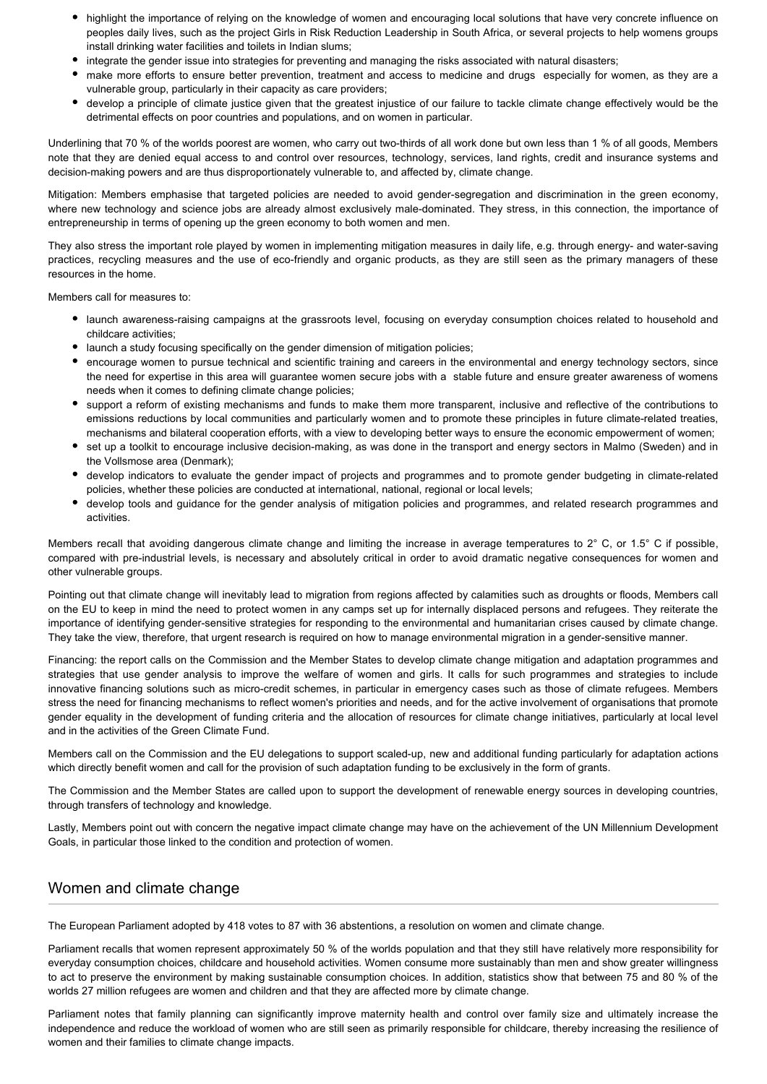- highlight the importance of relying on the knowledge of women and encouraging local solutions that have very concrete influence on peoples daily lives, such as the project Girls in Risk Reduction Leadership in South Africa, or several projects to help womens groups install drinking water facilities and toilets in Indian slums;
- integrate the gender issue into strategies for preventing and managing the risks associated with natural disasters;
- make more efforts to ensure better prevention, treatment and access to medicine and drugs especially for women, as they are a vulnerable group, particularly in their capacity as care providers;
- develop a principle of climate justice given that the greatest injustice of our failure to tackle climate change effectively would be the detrimental effects on poor countries and populations, and on women in particular.

Underlining that 70 % of the worlds poorest are women, who carry out two-thirds of all work done but own less than 1 % of all goods, Members note that they are denied equal access to and control over resources, technology, services, land rights, credit and insurance systems and decision-making powers and are thus disproportionately vulnerable to, and affected by, climate change.

Mitigation: Members emphasise that targeted policies are needed to avoid gender-segregation and discrimination in the green economy, where new technology and science jobs are already almost exclusively male-dominated. They stress, in this connection, the importance of entrepreneurship in terms of opening up the green economy to both women and men.

They also stress the important role played by women in implementing mitigation measures in daily life, e.g. through energy- and water-saving practices, recycling measures and the use of eco-friendly and organic products, as they are still seen as the primary managers of these resources in the home.

Members call for measures to:

- launch awareness-raising campaigns at the grassroots level, focusing on everyday consumption choices related to household and childcare activities;
- launch a study focusing specifically on the gender dimension of mitigation policies;
- encourage women to pursue technical and scientific training and careers in the environmental and energy technology sectors, since the need for expertise in this area will guarantee women secure jobs with a stable future and ensure greater awareness of womens needs when it comes to defining climate change policies;
- support a reform of existing mechanisms and funds to make them more transparent, inclusive and reflective of the contributions to emissions reductions by local communities and particularly women and to promote these principles in future climate-related treaties, mechanisms and bilateral cooperation efforts, with a view to developing better ways to ensure the economic empowerment of women;
- set up a toolkit to encourage inclusive decision-making, as was done in the transport and energy sectors in Malmo (Sweden) and in the Vollsmose area (Denmark);
- develop indicators to evaluate the gender impact of projects and programmes and to promote gender budgeting in climate-related policies, whether these policies are conducted at international, national, regional or local levels;
- develop tools and guidance for the gender analysis of mitigation policies and programmes, and related research programmes and activities.

Members recall that avoiding dangerous climate change and limiting the increase in average temperatures to 2° C, or 1.5° C if possible, compared with pre-industrial levels, is necessary and absolutely critical in order to avoid dramatic negative consequences for women and other vulnerable groups.

Pointing out that climate change will inevitably lead to migration from regions affected by calamities such as droughts or floods, Members call on the EU to keep in mind the need to protect women in any camps set up for internally displaced persons and refugees. They reiterate the importance of identifying gender-sensitive strategies for responding to the environmental and humanitarian crises caused by climate change. They take the view, therefore, that urgent research is required on how to manage environmental migration in a gender-sensitive manner.

Financing: the report calls on the Commission and the Member States to develop climate change mitigation and adaptation programmes and strategies that use gender analysis to improve the welfare of women and girls. It calls for such programmes and strategies to include innovative financing solutions such as micro-credit schemes, in particular in emergency cases such as those of climate refugees. Members stress the need for financing mechanisms to reflect women's priorities and needs, and for the active involvement of organisations that promote gender equality in the development of funding criteria and the allocation of resources for climate change initiatives, particularly at local level and in the activities of the Green Climate Fund.

Members call on the Commission and the EU delegations to support scaled-up, new and additional funding particularly for adaptation actions which directly benefit women and call for the provision of such adaptation funding to be exclusively in the form of grants.

The Commission and the Member States are called upon to support the development of renewable energy sources in developing countries, through transfers of technology and knowledge.

Lastly, Members point out with concern the negative impact climate change may have on the achievement of the UN Millennium Development Goals, in particular those linked to the condition and protection of women.

## Women and climate change

The European Parliament adopted by 418 votes to 87 with 36 abstentions, a resolution on women and climate change.

Parliament recalls that women represent approximately 50 % of the worlds population and that they still have relatively more responsibility for everyday consumption choices, childcare and household activities. Women consume more sustainably than men and show greater willingness to act to preserve the environment by making sustainable consumption choices. In addition, statistics show that between 75 and 80 % of the worlds 27 million refugees are women and children and that they are affected more by climate change.

Parliament notes that family planning can significantly improve maternity health and control over family size and ultimately increase the independence and reduce the workload of women who are still seen as primarily responsible for childcare, thereby increasing the resilience of women and their families to climate change impacts.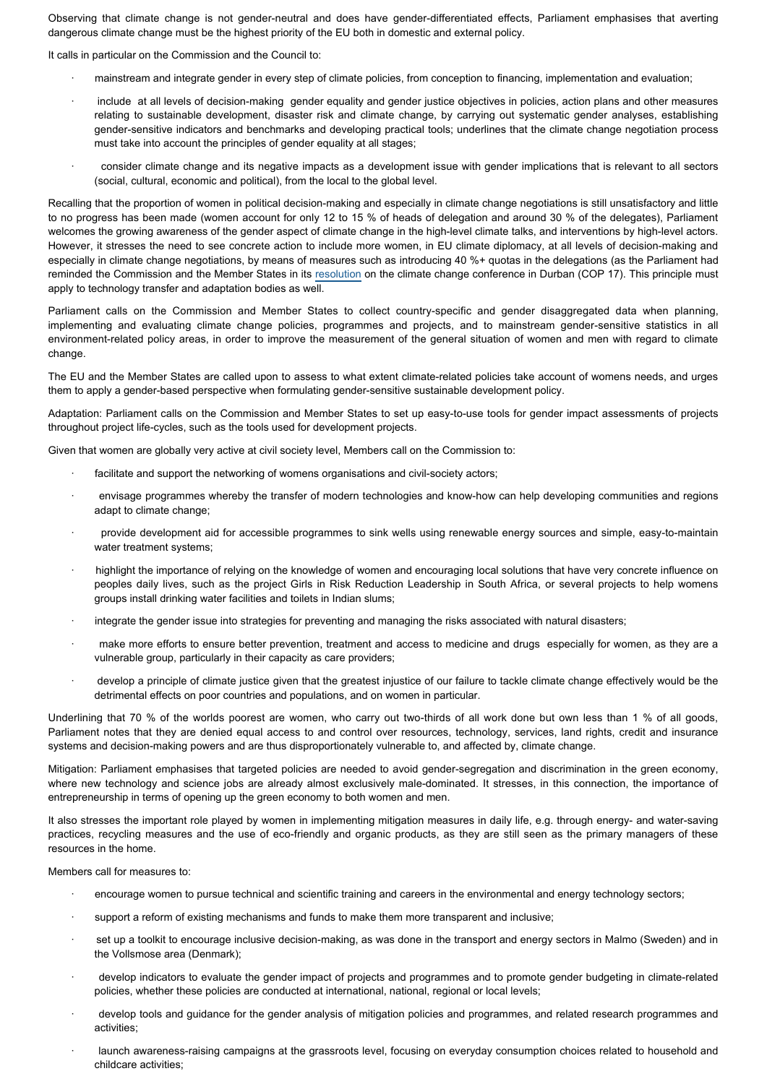Observing that climate change is not gender-neutral and does have gender-differentiated effects, Parliament emphasises that averting dangerous climate change must be the highest priority of the EU both in domestic and external policy.

It calls in particular on the Commission and the Council to:

- · mainstream and integrate gender in every step of climate policies, from conception to financing, implementation and evaluation;
- · include at all levels of decision-making gender equality and gender justice objectives in policies, action plans and other measures relating to sustainable development, disaster risk and climate change, by carrying out systematic gender analyses, establishing gender-sensitive indicators and benchmarks and developing practical tools; underlines that the climate change negotiation process must take into account the principles of gender equality at all stages;
- · consider climate change and its negative impacts as a development issue with gender implications that is relevant to all sectors (social, cultural, economic and political), from the local to the global level.

Recalling that the proportion of women in political decision-making and especially in climate change negotiations is still unsatisfactory and little to no progress has been made (women account for only 12 to 15 % of heads of delegation and around 30 % of the delegates), Parliament welcomes the growing awareness of the gender aspect of climate change in the high-level climate talks, and interventions by high-level actors. However, it stresses the need to see concrete action to include more women, in EU climate diplomacy, at all levels of decision-making and especially in climate change negotiations, by means of measures such as introducing 40 %+ quotas in the delegations (as the Parliament had reminded the Commission and the Member States in its [resolution](http://www.europarl.europa.eu/oeil/popups/ficheprocedure.do?lang=en&reference=2011/2646(RSP)) on the climate change conference in Durban (COP 17). This principle must apply to technology transfer and adaptation bodies as well.

Parliament calls on the Commission and Member States to collect country-specific and gender disaggregated data when planning. implementing and evaluating climate change policies, programmes and projects, and to mainstream gender-sensitive statistics in all environment-related policy areas, in order to improve the measurement of the general situation of women and men with regard to climate change.

The EU and the Member States are called upon to assess to what extent climate-related policies take account of womens needs, and urges them to apply a gender-based perspective when formulating gender-sensitive sustainable development policy.

Adaptation: Parliament calls on the Commission and Member States to set up easy-to-use tools for gender impact assessments of projects throughout project life-cycles, such as the tools used for development projects.

Given that women are globally very active at civil society level, Members call on the Commission to:

- facilitate and support the networking of womens organisations and civil-society actors;
- · envisage programmes whereby the transfer of modern technologies and know-how can help developing communities and regions adapt to climate change:
- provide development aid for accessible programmes to sink wells using renewable energy sources and simple, easy-to-maintain water treatment systems;
- highlight the importance of relying on the knowledge of women and encouraging local solutions that have very concrete influence on peoples daily lives, such as the project Girls in Risk Reduction Leadership in South Africa, or several projects to help womens groups install drinking water facilities and toilets in Indian slums;
- · integrate the gender issue into strategies for preventing and managing the risks associated with natural disasters;
- make more efforts to ensure better prevention, treatment and access to medicine and drugs especially for women, as they are a vulnerable group, particularly in their capacity as care providers;
- develop a principle of climate justice given that the greatest injustice of our failure to tackle climate change effectively would be the detrimental effects on poor countries and populations, and on women in particular.

Underlining that 70 % of the worlds poorest are women, who carry out two-thirds of all work done but own less than 1 % of all goods, Parliament notes that they are denied equal access to and control over resources, technology, services, land rights, credit and insurance systems and decision-making powers and are thus disproportionately vulnerable to, and affected by, climate change.

Mitigation: Parliament emphasises that targeted policies are needed to avoid gender-segregation and discrimination in the green economy, where new technology and science jobs are already almost exclusively male-dominated. It stresses, in this connection, the importance of entrepreneurship in terms of opening up the green economy to both women and men.

It also stresses the important role played by women in implementing mitigation measures in daily life, e.g. through energy- and water-saving practices, recycling measures and the use of eco-friendly and organic products, as they are still seen as the primary managers of these resources in the home.

Members call for measures to:

- encourage women to pursue technical and scientific training and careers in the environmental and energy technology sectors;
- support a reform of existing mechanisms and funds to make them more transparent and inclusive;
- set up a toolkit to encourage inclusive decision-making, as was done in the transport and energy sectors in Malmo (Sweden) and in the Vollsmose area (Denmark);
- · develop indicators to evaluate the gender impact of projects and programmes and to promote gender budgeting in climate-related policies, whether these policies are conducted at international, national, regional or local levels;
- develop tools and guidance for the gender analysis of mitigation policies and programmes, and related research programmes and activities;
- launch awareness-raising campaigns at the grassroots level, focusing on everyday consumption choices related to household and childcare activities;